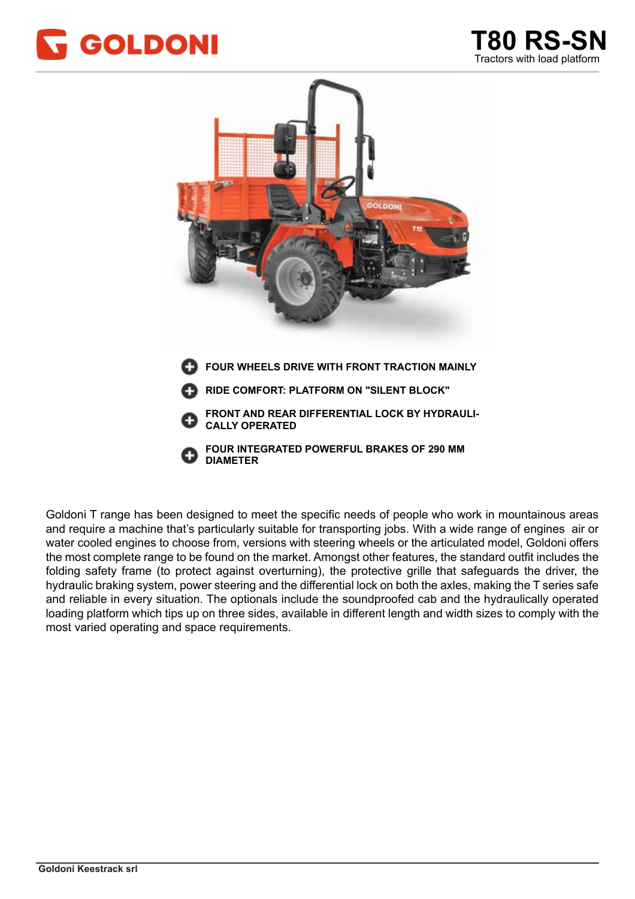



La gamma Goldoni Transcar è pensata per soddisfare le esigenze specifiche di chi lavora in montagna ed Goldoni T range has been designed to meet the specific needs of people who work in mountainous areas and require a machine that's particularly suitable for transporting jobs. With a wide range of engines air or water cooled engines to choose from, versions with steering wheels or the articulated model, Goldoni offers the most complete range to be found on the market. Amongst other features, the standard outfit includes the and reliable in every situation. The optionals include the soundproofed cab and the hydraulically operated folding safety frame (to protect against overturning), the protective grille that safeguards the driver, the hydraulic braking system, power steering and the differential lock on both the axles, making the T series safe loading platform which tips up on three sides, available in different length and width sizes to comply with the most varied operating and space requirements.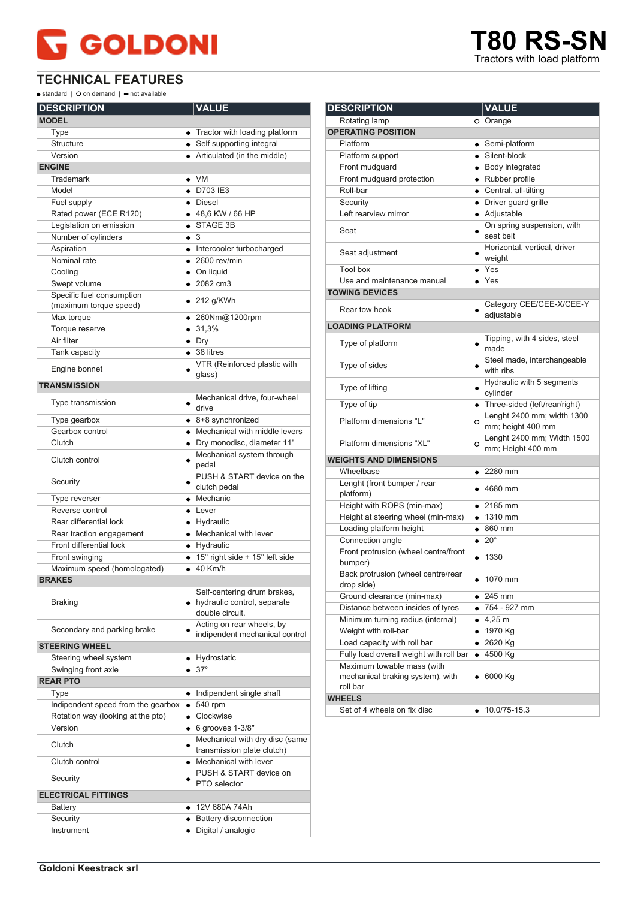## **GOLDONI**

**TECHNICAL FEATURES**

 $\bullet$  standard |  $\bullet$  on demand |  $\bullet$  not available

| <b>DESCRIPTION</b>                 | <b>VALUE</b>                                                                    |
|------------------------------------|---------------------------------------------------------------------------------|
| <b>MODEL</b>                       |                                                                                 |
| Type                               | • Tractor with loading platform                                                 |
| <b>Structure</b>                   | • Self supporting integral                                                      |
| Version                            | • Articulated (in the middle)                                                   |
| <b>ENGINE</b>                      |                                                                                 |
| <b>Trademark</b>                   | $\bullet$ VM                                                                    |
| Model                              | $\bullet$ D703 IE3                                                              |
| Fuel supply                        | • Diesel                                                                        |
| Rated power (ECE R120)             | ● 48,6 KW / 66 HP                                                               |
| Legislation on emission            | STAGE 3B                                                                        |
| Number of cylinders                | $\bullet$ 3                                                                     |
| Aspiration                         | • Intercooler turbocharged                                                      |
| Nominal rate                       | $\bullet$ 2600 rev/min                                                          |
| Cooling                            | • On liquid                                                                     |
| Swept volume                       | $\bullet$ 2082 cm3                                                              |
| Specific fuel consumption          |                                                                                 |
| (maximum torque speed)             | $\bullet$ 212 g/KWh                                                             |
| Max torque                         | • 260Nm@1200rpm                                                                 |
| Torque reserve                     | • 31,3%                                                                         |
| Air filter                         | $\bullet$ Dry                                                                   |
| Tank capacity                      | $\bullet$ 38 litres                                                             |
|                                    | VTR (Reinforced plastic with                                                    |
| Engine bonnet                      | glass)                                                                          |
| <b>TRANSMISSION</b>                |                                                                                 |
|                                    | Mechanical drive, four-wheel                                                    |
| Type transmission                  | drive                                                                           |
| Type gearbox                       | • 8+8 synchronized                                                              |
| Gearbox control                    | • Mechanical with middle levers                                                 |
| Clutch                             | · Dry monodisc, diameter 11"                                                    |
| Clutch control                     | Mechanical system through<br>pedal                                              |
| Security                           | PUSH & START device on the<br>clutch pedal                                      |
| Type reverser                      | • Mechanic                                                                      |
| Reverse control                    | $\bullet$ Lever                                                                 |
| Rear differential lock             | • Hydraulic                                                                     |
| Rear traction engagement           | • Mechanical with lever                                                         |
| Front differential lock            | • Hydraulic                                                                     |
| Front swinging                     | $\bullet$ 15° right side + 15° left side                                        |
| Maximum speed (homologated)        | $\bullet$ 40 Km/h                                                               |
| <b>BRAKES</b>                      |                                                                                 |
| <b>Braking</b>                     | Self-centering drum brakes,<br>• hydraulic control, separate<br>double circuit. |
| Secondary and parking brake        | Acting on rear wheels, by<br>indipendent mechanical control                     |
| <b>STEERING WHEEL</b>              |                                                                                 |
| Steering wheel system              | Hydrostatic                                                                     |
| Swinging front axle                | $37^\circ$                                                                      |
| <b>REAR PTO</b>                    |                                                                                 |
| Type                               | Indipendent single shaft                                                        |
| Indipendent speed from the gearbox | 540 rpm                                                                         |
| Rotation way (looking at the pto)  | Clockwise<br>$\bullet$                                                          |
| Version                            | $\bullet$ 6 grooves 1-3/8"                                                      |
| Clutch                             | Mechanical with dry disc (same<br>transmission plate clutch)                    |
| Clutch control                     | • Mechanical with lever                                                         |
|                                    | PUSH & START device on                                                          |
| Security                           | PTO selector                                                                    |
| <b>ELECTRICAL FITTINGS</b>         |                                                                                 |
| Battery                            | ● 12V 680A 74Ah                                                                 |
| Security                           | Battery disconnection<br>$\bullet$                                              |
| Instrument                         | Digital / analogic<br>$\bullet$                                                 |

| <b>DESCRIPTION</b>                               | <b>VALUE</b>                                         |
|--------------------------------------------------|------------------------------------------------------|
| Rotating lamp                                    | O Orange                                             |
| <b>OPERATING POSITION</b>                        |                                                      |
| Platform                                         | Semi-platform                                        |
| Platform support                                 | • Silent-block                                       |
| Front mudguard                                   | • Body integrated                                    |
| Front mudguard protection                        | · Rubber profile                                     |
| Roll-bar                                         | • Central, all-tilting                               |
| Security                                         | • Driver guard grille                                |
| Left rearview mirror                             | · Adjustable                                         |
| Seat                                             | On spring suspension, with<br>seat belt              |
| Seat adjustment                                  | Horizontal, vertical, driver<br>weight               |
| Tool box                                         | $\bullet$ Yes                                        |
| Use and maintenance manual                       | $\bullet$ Yes                                        |
| <b>TOWING DEVICES</b>                            |                                                      |
| Rear tow hook                                    | Category CEE/CEE-X/CEE-Y<br>adjustable               |
| <b>LOADING PLATFORM</b>                          |                                                      |
| Type of platform                                 | Tipping, with 4 sides, steel<br>made                 |
| Type of sides                                    | Steel made, interchangeable<br>with ribs             |
| Type of lifting                                  | Hydraulic with 5 segments<br>cylinder                |
| Type of tip                                      | • Three-sided (left/rear/right)                      |
| Platform dimensions "L"                          | Lenght 2400 mm; width 1300<br>O<br>mm; height 400 mm |
| Platform dimensions "XL"                         | Lenght 2400 mm; Width 1500<br>O<br>mm; Height 400 mm |
| <b>WEIGHTS AND DIMENSIONS</b>                    |                                                      |
| Wheelbase                                        | $\bullet$ 2280 mm                                    |
| Lenght (front bumper / rear<br>platform)         | $\bullet$ 4680 mm                                    |
| Height with ROPS (min-max)                       | $\bullet$ 2185 mm                                    |
| Height at steering wheel (min-max)               | $\bullet$ 1310 mm                                    |
| Loading platform height                          | $\bullet$ 860 mm                                     |
| Connection angle                                 | $\bullet$ 20°                                        |
| Front protrusion (wheel centre/front<br>bumper)  | 1330                                                 |
| Back protrusion (wheel centre/rear<br>drop side) | 1070 mm                                              |
| Ground clearance (min-max)                       | 245 mm                                               |
| Distance between insides of tyres                | 754 - 927 mm                                         |
| Minimum turning radius (internal)                | $4,25 \; m$<br>$\bullet$                             |
| Weight with roll-bar                             | • 1970 Kg                                            |
| Load capacity with roll bar                      | • 2620 Kg                                            |
| Fully load overall weight with roll bar          | 4500 Kg<br>٠                                         |
| Maximum towable mass (with                       |                                                      |
| mechanical braking system), with<br>roll bar     | 6000 Kg                                              |
| <b>WHEELS</b>                                    |                                                      |
| Set of 4 wheels on fix disc                      | 10.0/75-15.3                                         |

**TRO RS-SN** 

Tractors with load platform Tractors with load platform